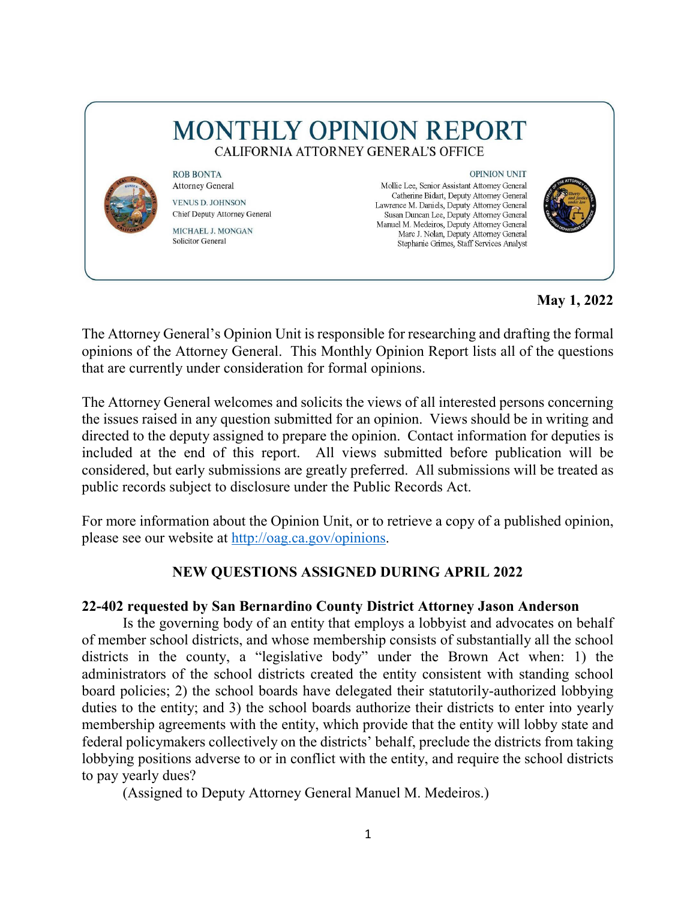# **MONTHLY OPINION REPORT** CALIFORNIA ATTORNEY GENERAL'S OFFICE



**Attorney General VENUS D. JOHNSON** Chief Deputy Attorney General MICHAEL J. MONGAN **Solicitor General** 

**ROB BONTA** 

**OPINION UNIT** 

Mollie Lee, Senior Assistant Attorney General Catherine Bidart, Deputy Attorney General Lawrence M. Daniels, Deputy Attorney General Susan Duncan Lee, Deputy Attorney General Manuel M. Medeiros, Deputy Attorney General Marc J. Nolan, Deputy Attorney General Stephanie Grimes, Staff Services Analyst



**May 1, 2022** 

The Attorney General's Opinion Unit is responsible for researching and drafting the formal opinions of the Attorney General. This Monthly Opinion Report lists all of the questions that are currently under consideration for formal opinions.

 the issues raised in any question submitted for an opinion. Views should be in writing and The Attorney General welcomes and solicits the views of all interested persons concerning directed to the deputy assigned to prepare the opinion. Contact information for deputies is included at the end of this report. All views submitted before publication will be considered, but early submissions are greatly preferred. All submissions will be treated as public records subject to disclosure under the Public Records Act.

For more information about the Opinion Unit, or to retrieve a copy of a published opinion, please see our website at [http://oag.ca.gov/opinions.](http://oag.ca.gov/opinions)

# **NEW QUESTIONS ASSIGNED DURING APRIL 2022**

## **22-402 requested by San Bernardino County District Attorney Jason Anderson**

 Is the governing body of an entity that employs a lobbyist and advocates on behalf membership agreements with the entity, which provide that the entity will lobby state and to pay yearly dues? of member school districts, and whose membership consists of substantially all the school districts in the county, a "legislative body" under the Brown Act when: 1) the administrators of the school districts created the entity consistent with standing school board policies; 2) the school boards have delegated their statutorily-authorized lobbying duties to the entity; and 3) the school boards authorize their districts to enter into yearly federal policymakers collectively on the districts' behalf, preclude the districts from taking lobbying positions adverse to or in conflict with the entity, and require the school districts

(Assigned to Deputy Attorney General Manuel M. Medeiros.)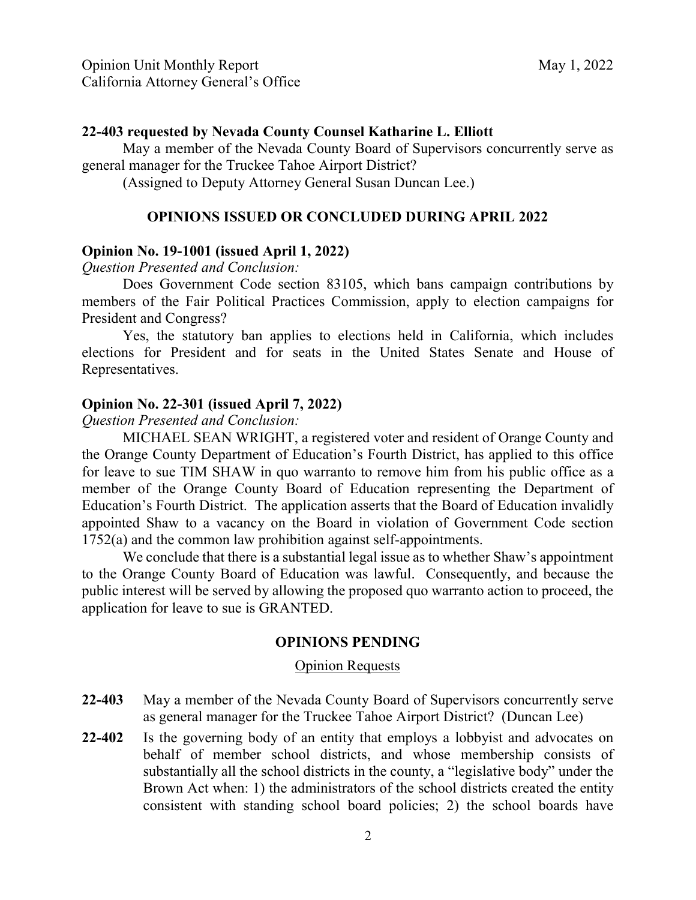#### **22-403 requested by Nevada County Counsel Katharine L. Elliott**

 May a member of the Nevada County Board of Supervisors concurrently serve as general manager for the Truckee Tahoe Airport District?

(Assigned to Deputy Attorney General Susan Duncan Lee.)

#### **OPINIONS ISSUED OR CONCLUDED DURING APRIL 2022**

#### **Opinion No. 19-1001 (issued April 1, 2022)**

*Question Presented and Conclusion:* 

Does Government Code section 83105, which bans campaign contributions by members of the Fair Political Practices Commission, apply to election campaigns for President and Congress?

Yes, the statutory ban applies to elections held in California, which includes elections for President and for seats in the United States Senate and House of Representatives.

#### **Opinion No. 22-301 (issued April 7, 2022)**

*Question Presented and Conclusion:* 

 member of the Orange County Board of Education representing the Department of MICHAEL SEAN WRIGHT, a registered voter and resident of Orange County and the Orange County Department of Education's Fourth District, has applied to this office for leave to sue TIM SHAW in quo warranto to remove him from his public office as a Education's Fourth District. The application asserts that the Board of Education invalidly appointed Shaw to a vacancy on the Board in violation of Government Code section 1752(a) and the common law prohibition against self-appointments.

We conclude that there is a substantial legal issue as to whether Shaw's appointment to the Orange County Board of Education was lawful. Consequently, and because the public interest will be served by allowing the proposed quo warranto action to proceed, the application for leave to sue is GRANTED.

#### **OPINIONS PENDING**

#### Opinion Requests

- **22-403** May a member of the Nevada County Board of Supervisors concurrently serve as general manager for the Truckee Tahoe Airport District? (Duncan Lee)
- Brown Act when: 1) the administrators of the school districts created the entity **22-402** Is the governing body of an entity that employs a lobbyist and advocates on behalf of member school districts, and whose membership consists of substantially all the school districts in the county, a "legislative body" under the consistent with standing school board policies; 2) the school boards have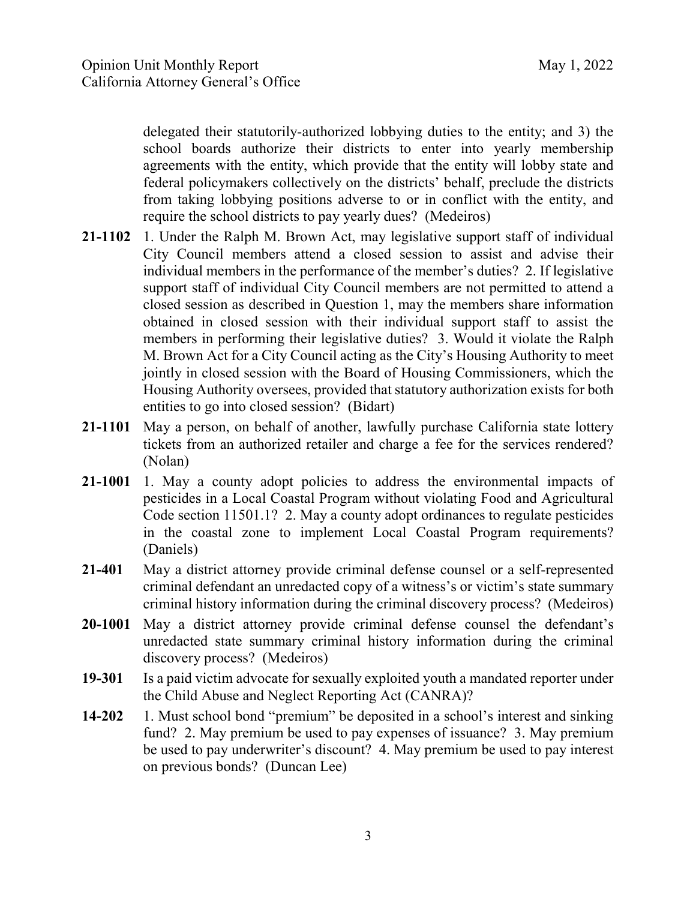school boards authorize their districts to enter into yearly membership require the school districts to pay yearly dues? (Medeiros) delegated their statutorily-authorized lobbying duties to the entity; and 3) the agreements with the entity, which provide that the entity will lobby state and federal policymakers collectively on the districts' behalf, preclude the districts from taking lobbying positions adverse to or in conflict with the entity, and

- **21-1102** 1. Under the Ralph M. Brown Act, may legislative support staff of individual members in performing their legislative duties? 3. Would it violate the Ralph entities to go into closed session? (Bidart) City Council members attend a closed session to assist and advise their individual members in the performance of the member's duties? 2. If legislative support staff of individual City Council members are not permitted to attend a closed session as described in Question 1, may the members share information obtained in closed session with their individual support staff to assist the M. Brown Act for a City Council acting as the City's Housing Authority to meet jointly in closed session with the Board of Housing Commissioners, which the Housing Authority oversees, provided that statutory authorization exists for both
- tickets from an authorized retailer and charge a fee for the services rendered? (Nolan) (Nolan) **21-1101** May a person, on behalf of another, lawfully purchase California state lottery
- **21-1001** 1. May a county adopt policies to address the environmental impacts of (Daniels) pesticides in a Local Coastal Program without violating Food and Agricultural Code section 11501.1? 2. May a county adopt ordinances to regulate pesticides in the coastal zone to implement Local Coastal Program requirements?
- criminal history information during the criminal discovery process? (Medeiros) **21-401** May a district attorney provide criminal defense counsel or a self-represented criminal defendant an unredacted copy of a witness's or victim's state summary
- discovery process? (Medeiros) **20-1001** May a district attorney provide criminal defense counsel the defendant's unredacted state summary criminal history information during the criminal
- **19-301** Is a paid victim advocate for sexually exploited youth a mandated reporter under the Child Abuse and Neglect Reporting Act (CANRA)?
- **14-202** 1. Must school bond "premium" be deposited in a school's interest and sinking be used to pay underwriter's discount? 4. May premium be used to pay interest on previous bonds? (Duncan Lee) fund? 2. May premium be used to pay expenses of issuance? 3. May premium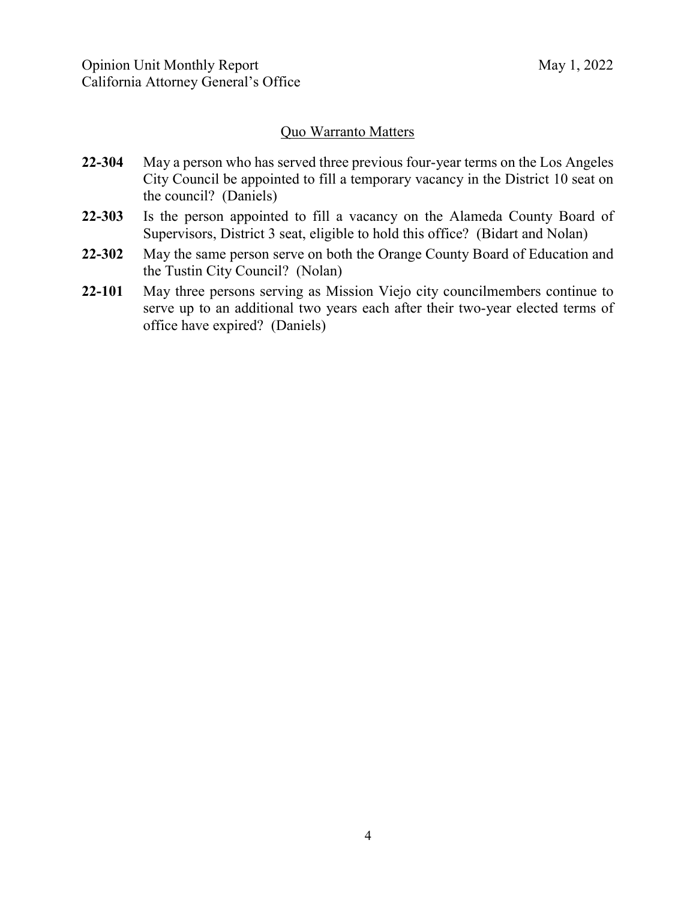### Quo Warranto Matters

- City Council be appointed to fill a temporary vacancy in the District 10 seat on **22-304** May a person who has served three previous four-year terms on the Los Angeles the council? (Daniels)
- **22-303** Is the person appointed to fill a vacancy on the Alameda County Board of Supervisors, District 3 seat, eligible to hold this office? (Bidart and Nolan)
- **22-302** May the same person serve on both the Orange County Board of Education and the Tustin City Council? (Nolan)
- serve up to an additional two years each after their two-year elected terms of **22-101** May three persons serving as Mission Viejo city councilmembers continue to office have expired? (Daniels)